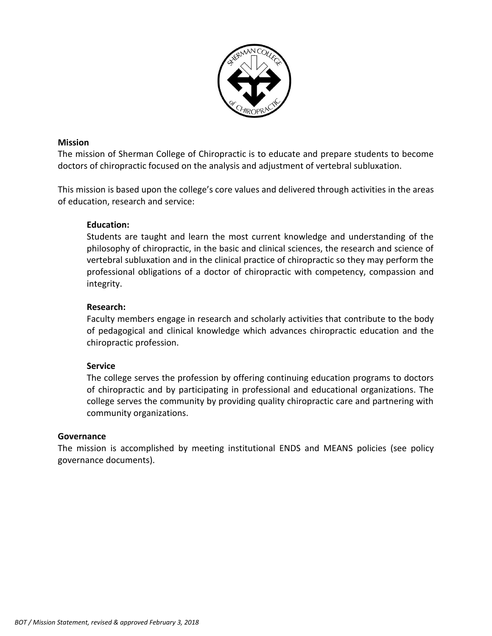

### **Mission**

The mission of Sherman College of Chiropractic is to educate and prepare students to become doctors of chiropractic focused on the analysis and adjustment of vertebral subluxation.

This mission is based upon the college's core values and delivered through activities in the areas of education, research and service:

## **Education:**

Students are taught and learn the most current knowledge and understanding of the philosophy of chiropractic, in the basic and clinical sciences, the research and science of vertebral subluxation and in the clinical practice of chiropractic so they may perform the professional obligations of a doctor of chiropractic with competency, compassion and integrity.

## **Research:**

Faculty members engage in research and scholarly activities that contribute to the body of pedagogical and clinical knowledge which advances chiropractic education and the chiropractic profession.

## **Service**

The college serves the profession by offering continuing education programs to doctors of chiropractic and by participating in professional and educational organizations. The college serves the community by providing quality chiropractic care and partnering with community organizations.

## **Governance**

The mission is accomplished by meeting institutional ENDS and MEANS policies (see policy governance documents).